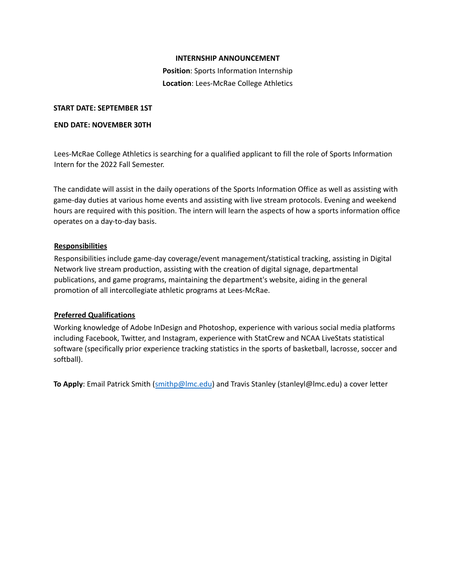### **INTERNSHIP ANNOUNCEMENT**

**Position**: Sports Information Internship **Location**: Lees-McRae College Athletics

### **START DATE: SEPTEMBER 1ST**

### **END DATE: NOVEMBER 30TH**

Lees-McRae College Athletics is searching for a qualified applicant to fill the role of Sports Information Intern for the 2022 Fall Semester.

The candidate will assist in the daily operations of the Sports Information Office as well as assisting with game-day duties at various home events and assisting with live stream protocols. Evening and weekend hours are required with this position. The intern will learn the aspects of how a sports information office operates on a day-to-day basis.

# **Responsibilities**

Responsibilities include game-day coverage/event management/statistical tracking, assisting in Digital Network live stream production, assisting with the creation of digital signage, departmental publications, and game programs, maintaining the department's website, aiding in the general promotion of all intercollegiate athletic programs at Lees-McRae.

# **Preferred Qualifications**

Working knowledge of Adobe InDesign and Photoshop, experience with various social media platforms including Facebook, Twitter, and Instagram, experience with StatCrew and NCAA LiveStats statistical software (specifically prior experience tracking statistics in the sports of basketball, lacrosse, soccer and softball).

**To Apply**: Email Patrick Smith (smithp@lmc.edu) and Travis Stanley (stanleyl@lmc.edu) a cover letter